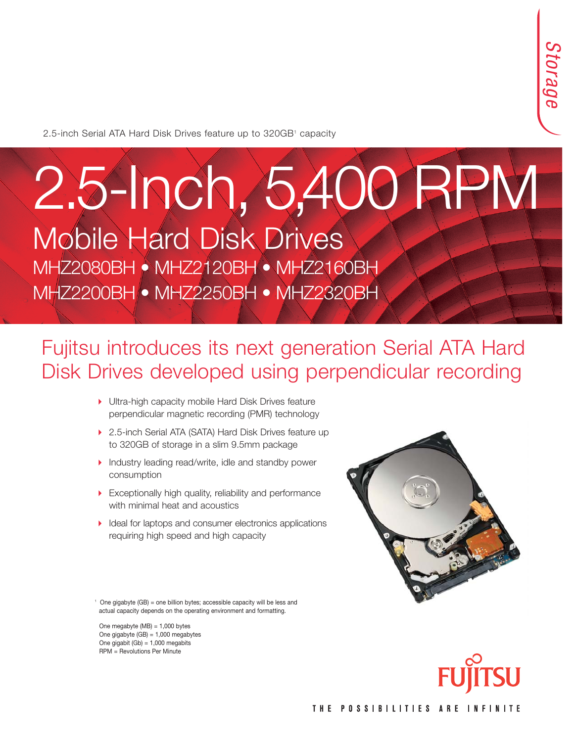2.5-inch Serial ATA Hard Disk Drives feature up to 320GB<sup>1</sup> capacity

# 2.5-Inch, 5,400 RPM Mobile Hard Disk Drives

MHZ2080BH • MHZ2120BH • MHZ2160BH MHZ2200BH • MHZ2250BH • MHZ2320BH

### Fujitsu introduces its next generation Serial ATA Hard Disk Drives developed using perpendicular recording

- Ultra-high capacity mobile Hard Disk Drives feature perpendicular magnetic recording (PMR) technology
- ▶ 2.5-inch Serial ATA (SATA) Hard Disk Drives feature up to 320GB of storage in a slim 9.5mm package
- Industry leading read/write, idle and standby power consumption
- Exceptionally high quality, reliability and performance with minimal heat and acoustics
- Ideal for laptops and consumer electronics applications requiring high speed and high capacity



<sup>1</sup> One gigabyte (GB) = one billion bytes; accessible capacity will be less and actual capacity depends on the operating environment and formatting.

One megabyte (MB) = 1,000 bytes One gigabyte (GB) = 1,000 megabytes One gigabit  $(Gb) = 1,000$  megabits RPM = Revolutions Per Minute